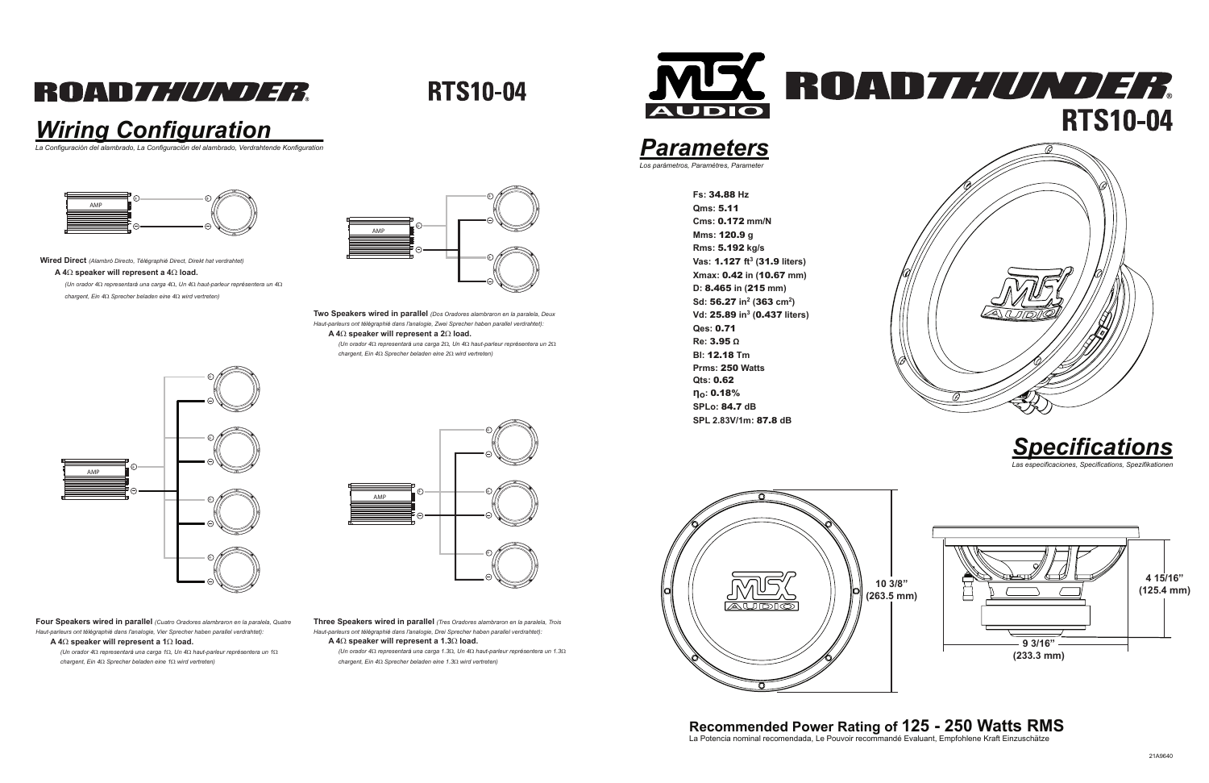### **ROADZ////////**

**RTS10-04** 

**SPL 2.83V/1m:** 87.8 **dB**

### *Wiring Configuration*



*La Configuración del alambrado, La Configuración del alambrado, Verdrahtende Konfiguration*

### **Recommended Power Rating of 125 - 250 Watts RMS** La Potencia nominal recomendada, Le Pouvoir recommandé Evaluant, Empfohlene Kraft Einzuschätze











**Wired Direct** *(Alambró Directo, Télégraphié Direct, Direkt hat verdrahtet)*

### **A 4**Ω **speaker will represent a 4**Ω **load.**

*(Un orador 4*Ω *representará una carga 4*Ω*, Un 4*Ω *haut-parleur représentera un 4*Ω*chargent, Ein 4*Ω *Sprecher beladen eine 4*Ω *wird vertreten)*

> **Two Speakers wired in parallel** *(Dos Oradores alambraron en la paralela, Deux Haut-parleurs ont télégraphié dans l'analogie, Zwei Sprecher haben parallel verdrahtet):***A 4**Ω **speaker will represent a 2**Ω **load.**

*(Un orador 4*Ω *representará una carga 2*Ω*, Un 4*Ω *haut-parleur représentera un 2*Ω*chargent, Ein 4*Ω *Sprecher beladen eine 2*Ω *wird vertreten)*

**Four Speakers wired in parallel** *(Cuatro Oradores alambraron en la paralela, Quatre Haut-parleurs ont télégraphié dans l'analogie, Vier Sprecher haben parallel verdrahtet):***A 4**Ω **speaker will represent a 1**Ω **load.**

 *(Un orador 4*Ω *representará una carga 1*Ω*, Un 4*Ω *haut-parleur représentera un 1*Ω*chargent, Ein 4*Ω *Sprecher beladen eine 1*Ω *wird vertreten)*

**Three Speakers wired in parallel** *(Tres Oradores alambraron en la paralela, Trois Haut-parleurs ont télégraphié dans l'analogie, Drei Sprecher haben parallel verdrahtet):***A 4**Ω **speaker will represent a 1.3**Ω **load.**

 *(Un orador 4*Ω *representará una carga 1.3*Ω*, Un 4*Ω *haut-parleur représentera un 1.3*Ω*chargent, Ein 4*Ω *Sprecher beladen eine 1.3*Ω *wird vertreten)*